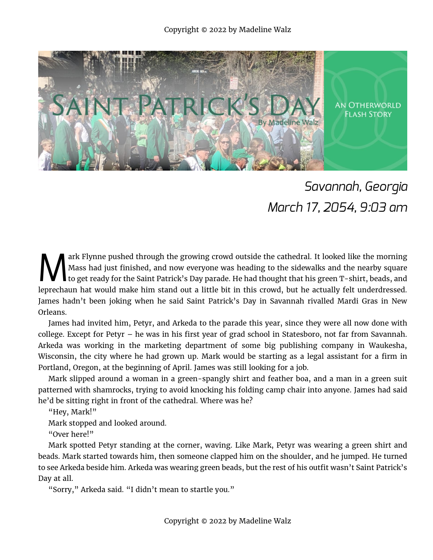

## *Savannah, Georgia March 17, 2054, 9:03 am*

ark Flynne pushed through the growing crowd outside the cathedral. It looked like the morning Mass had just finished, and now everyone was heading to the sidewalks and the nearby square to get ready for the Saint Patrick's Day parade. He had thought that his green T-shirt, beads, and leprechaun hat would make him stand out a little bit in this crowd, but he actually felt underdressed. James hadn't been joking when he said Saint Patrick's Day in Savannah rivalled Mardi Gras in New Orleans. M

James had invited him, Petyr, and Arkeda to the parade this year, since they were all now done with college. Except for Petyr – he was in his first year of grad school in Statesboro, not far from Savannah. Arkeda was working in the marketing department of some big publishing company in Waukesha, Wisconsin, the city where he had grown up. Mark would be starting as a legal assistant for a firm in Portland, Oregon, at the beginning of April. James was still looking for a job.

Mark slipped around a woman in a green-spangly shirt and feather boa, and a man in a green suit patterned with shamrocks, trying to avoid knocking his folding camp chair into anyone. James had said he'd be sitting right in front of the cathedral. Where was he?

"Hey, Mark!"

Mark stopped and looked around.

"Over here!"

Mark spotted Petyr standing at the corner, waving. Like Mark, Petyr was wearing a green shirt and beads. Mark started towards him, then someone clapped him on the shoulder, and he jumped. He turned to see Arkeda beside him. Arkeda was wearing green beads, but the rest of his outfit wasn't Saint Patrick's Day at all.

"Sorry," Arkeda said. "I didn't mean to startle you."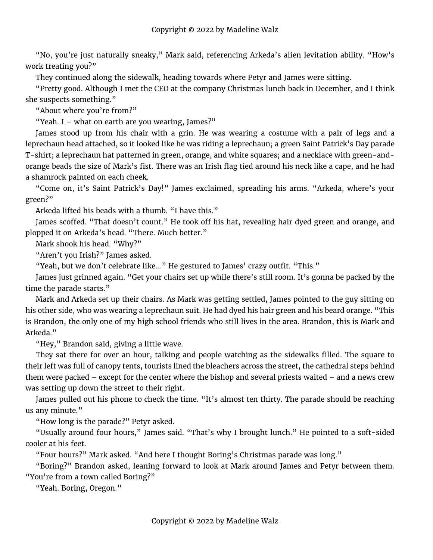"No, you're just naturally sneaky," Mark said, referencing Arkeda's alien levitation ability. "How's work treating you?"

They continued along the sidewalk, heading towards where Petyr and James were sitting.

"Pretty good. Although I met the CEO at the company Christmas lunch back in December, and I think she suspects something."

"About where you're from?"

"Yeah. I – what on earth are you wearing, James?"

James stood up from his chair with a grin. He was wearing a costume with a pair of legs and a leprechaun head attached, so it looked like he was riding a leprechaun; a green Saint Patrick's Day parade T-shirt; a leprechaun hat patterned in green, orange, and white squares; and a necklace with green-andorange beads the size of Mark's fist. There was an Irish flag tied around his neck like a cape, and he had a shamrock painted on each cheek.

"Come on, it's Saint Patrick's Day!" James exclaimed, spreading his arms. "Arkeda, where's your green?"

Arkeda lifted his beads with a thumb. "I have this."

James scoffed. "That doesn't count." He took off his hat, revealing hair dyed green and orange, and plopped it on Arkeda's head. "There. Much better."

Mark shook his head. "Why?"

"Aren't you Irish?" James asked.

"Yeah, but we don't celebrate like…" He gestured to James' crazy outfit. "This."

James just grinned again. "Get your chairs set up while there's still room. It's gonna be packed by the time the parade starts."

Mark and Arkeda set up their chairs. As Mark was getting settled, James pointed to the guy sitting on his other side, who was wearing a leprechaun suit. He had dyed his hair green and his beard orange. "This is Brandon, the only one of my high school friends who still lives in the area. Brandon, this is Mark and Arkeda."

"Hey," Brandon said, giving a little wave.

They sat there for over an hour, talking and people watching as the sidewalks filled. The square to their left was full of canopy tents, tourists lined the bleachers across the street, the cathedral steps behind them were packed – except for the center where the bishop and several priests waited – and a news crew was setting up down the street to their right.

James pulled out his phone to check the time. "It's almost ten thirty. The parade should be reaching us any minute."

"How long is the parade?" Petyr asked.

"Usually around four hours," James said. "That's why I brought lunch." He pointed to a soft-sided cooler at his feet.

"Four hours?" Mark asked. "And here I thought Boring's Christmas parade was long."

"Boring?" Brandon asked, leaning forward to look at Mark around James and Petyr between them. "You're from a town called Boring?"

"Yeah. Boring, Oregon."